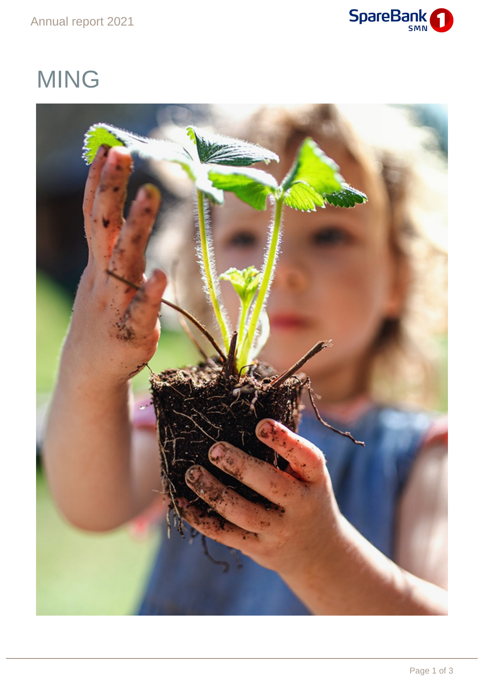### Annual report 2021



# MING

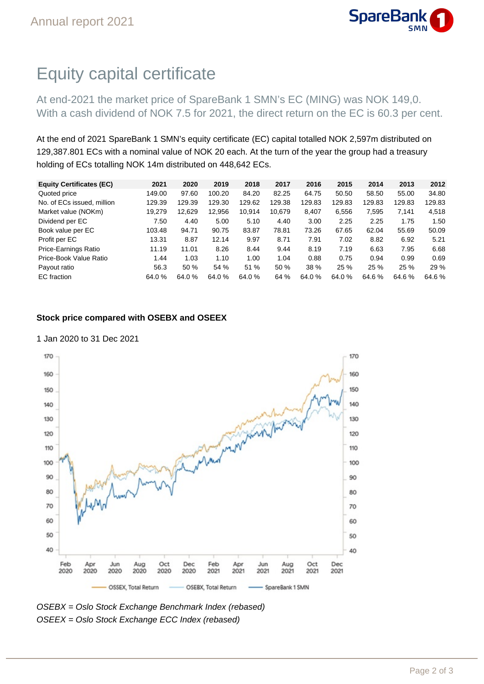

## Equity capital certificate

At end-2021 the market price of SpareBank 1 SMN's EC (MING) was NOK 149,0. With a cash dividend of NOK 7.5 for 2021, the direct return on the EC is 60.3 per cent.

At the end of 2021 SpareBank 1 SMN's equity certificate (EC) capital totalled NOK 2,597m distributed on 129,387.801 ECs with a nominal value of NOK 20 each. At the turn of the year the group had a treasury holding of ECs totalling NOK 14m distributed on 448,642 ECs.

| <b>Equity Certificates (EC)</b> | 2021   | 2020   | 2019   | 2018   | 2017   | 2016   | 2015   | 2014   | 2013   | 2012   |
|---------------------------------|--------|--------|--------|--------|--------|--------|--------|--------|--------|--------|
| Quoted price                    | 149.00 | 97.60  | 100.20 | 84.20  | 82.25  | 64.75  | 50.50  | 58.50  | 55.00  | 34.80  |
| No. of ECs issued, million      | 129.39 | 129.39 | 129.30 | 129.62 | 129.38 | 129.83 | 129.83 | 129.83 | 129.83 | 129.83 |
| Market value (NOKm)             | 19,279 | 12,629 | 12,956 | 10,914 | 10,679 | 8,407  | 6,556  | 7.595  | 7.141  | 4,518  |
| Dividend per EC                 | 7.50   | 4.40   | 5.00   | 5.10   | 4.40   | 3.00   | 2.25   | 2.25   | 1.75   | 1.50   |
| Book value per EC               | 103.48 | 94.71  | 90.75  | 83.87  | 78.81  | 73.26  | 67.65  | 62.04  | 55.69  | 50.09  |
| Profit per EC                   | 13.31  | 8.87   | 12.14  | 9.97   | 8.71   | 7.91   | 7.02   | 8.82   | 6.92   | 5.21   |
| Price-Earnings Ratio            | 11.19  | 11.01  | 8.26   | 8.44   | 9.44   | 8.19   | 7.19   | 6.63   | 7.95   | 6.68   |
| Price-Book Value Ratio          | 1.44   | 1.03   | 1.10   | 1.00   | 1.04   | 0.88   | 0.75   | 0.94   | 0.99   | 0.69   |
| Payout ratio                    | 56.3   | 50%    | 54 %   | 51 %   | 50 %   | 38 %   | 25 %   | 25 %   | 25 %   | 29 %   |
| EC fraction                     | 64.0 % | 64.0%  | 64.0%  | 64.0 % | 64 %   | 64.0%  | 64.0 % | 64.6%  | 64.6%  | 64.6%  |
|                                 |        |        |        |        |        |        |        |        |        |        |

#### **Stock price compared with OSEBX and OSEEX**

#### 1 Jan 2020 to 31 Dec 2021



OSEBX = Oslo Stock Exchange Benchmark Index (rebased) OSEEX = Oslo Stock Exchange ECC Index (rebased)